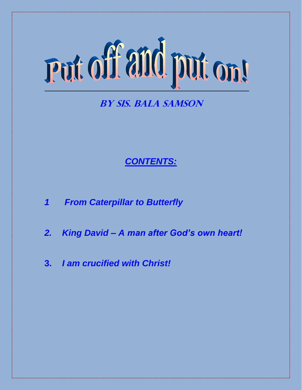# Put off and put on!

# **By Sis. Bala Samson**

# *CONTENTS:*

- *1 From Caterpillar to Butterfly*
- *2. King David – A man after God's own heart!*
- **3.** *I am crucified with Christ!*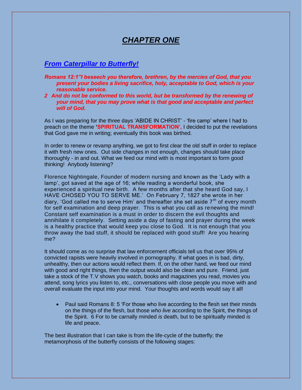### *CHAPTER ONE*

#### *From Caterpillar to Butterfly!*

- *Romans 12:1"I beseech you therefore, brethren, by the mercies of God, that you present your bodies a living sacrifice, holy, acceptable to God, which is your reasonable service.*
- *2 And do not be conformed to this world, but be transformed by the renewing of your mind, that you may prove what is that good and acceptable and perfect will of God.*

As I was preparing for the three days 'ABIDE IN CHRIST' - 'fire camp' where I had to preach on the theme **'SPIRITUAL TRANSFORMATION',** I decided to put the revelations that God gave me in writing; eventually this book was birthed.

In order to renew or revamp anything, we got to first clear the old stuff in order to replace it with fresh new ones. Out side changes in not enough, changes should take place thoroughly - in and out. What we feed our mind with is most important to form good thinking! Anybody listening?

Florence Nightingale, Founder of modern nursing and known as the 'Lady with a lamp', got saved at the age of 16; while reading a wonderful book, she experienced a spiritual new birth. A few months after that she heard God say, I HAVE CHOSED YOU TO SERVE ME.' On February 7, 1827 she wrote in her diary, 'God called me to serve Him' and thereafter she set aside  $7<sup>th</sup>$  of every month for self examination and deep prayer. This is what you call as renewing the mind! Constant self examination is a must in order to discern the evil thoughts and annihilate it completely. Setting aside a day of fasting and prayer during the week is a healthy practice that would keep you close to God. It is not enough that you throw away the bad stuff, it should be replaced with good stuff! Are you hearing me?

It should come as no surprise that law enforcement officials tell us that over 95% of convicted rapists were heavily involved in pornography. If what goes in is bad, dirty, unhealthy, then our actions would reflect them. If, on the other hand, we feed our mind with good and right things, then the output would also be clean and pure. Friend, just take a stock of the T.V shows you watch, books and magazines you read, movies you attend, song lyrics you listen to, etc., conversations with close people you move with and overall evaluate the input into your mind. Your thoughts and words would say it all!

• Paul said Romans 8: 5 'For those who live according to the flesh set their minds on the things of the flesh, but those *who live* according to the Spirit, the things of the Spirit. 6 For to be carnally minded *is* death, but to be spiritually minded *is* life and peace.

The best illustration that I can take is from the life-cycle of the butterfly; the metamorphosis of the butterfly consists of the following stages: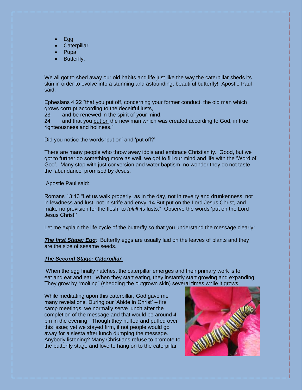- Egg
- **Caterpillar**
- Pupa
- Butterfly.

We all got to shed away our old habits and life just like the way the caterpillar sheds its skin in order to evolve into a stunning and astounding, beautiful butterfly! Apostle Paul said:

Ephesians 4:22 "that you put off, concerning your former conduct, the old man which grows corrupt according to the deceitful lusts,

23 and be renewed in the spirit of your mind,

24 and that you put on the new man which was created according to God, in true righteousness and holiness."

Did you notice the words 'put on' and 'put off?'

There are many people who throw away idols and embrace Christianity. Good, but we got to further do something more as well, we got to fill our mind and life with the 'Word of God'. Many stop with just conversion and water baptism, no wonder they do not taste the 'abundance' promised by Jesus.

Apostle Paul said:

Romans 13:13 "Let us walk properly, as in the day, not in revelry and drunkenness, not in lewdness and lust, not in strife and envy. 14 But put on the Lord Jesus Christ, and make no provision for the flesh, to *fulfill its* lusts." Observe the words 'put on the Lord Jesus Christ!'

Let me explain the life cycle of the butterfly so that you understand the message clearly:

**The first Stage: Egg**: Butterfly eggs are usually laid on the leaves of plants and they are the size of sesame seeds.

#### *The Second Stage: Caterpillar*

When the egg finally hatches, the caterpillar emerges and their primary work is to eat and eat and eat. When they start eating, they instantly start growing and expanding. They grow by "molting" (shedding the outgrown skin) several times while it grows.

While meditating upon this caterpillar, God gave me many revelations. During our 'Abide in Christ' – fire camp meetings, we normally serve lunch after the completion of the message and that would be around 4 pm in the evening. Though they huffed and puffed over this issue; yet we stayed firm, if not people would go away for a siesta after lunch dumping the message. Anybody listening? Many Christians refuse to promote to the butterfly stage and love to hang on to the caterpillar

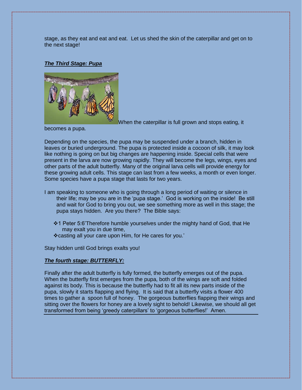stage, as they eat and eat and eat. Let us shed the skin of the caterpillar and get on to the next stage!

#### *The Third Stage: Pupa*



When the caterpillar is full grown and stops eating, it

becomes a pupa.

Depending on the species, the pupa may be suspended under a branch, hidden in leaves or buried underground. The pupa is protected inside a cocoon of silk, it may look like nothing is going on but big changes are happening inside. Special cells that were present in the larva are now growing rapidly. They will become the legs, wings, eyes and other parts of the adult butterfly. Many of the original larva cells will provide energy for these growing adult cells. This stage can last from a few weeks, a month or even longer. Some species have a pupa stage that lasts for two years.

- I am speaking to someone who is going through a long period of waiting or silence in their life; may be you are in the 'pupa stage.' God is working on the inside! Be still and wait for God to bring you out, we see something more as well in this stage; the pupa stays hidden. Are you there? The Bible says:
	- 1 Peter 5:6'Therefore humble yourselves under the mighty hand of God, that He may exalt you in due time,
	- casting all your care upon Him, for He cares for you.'

Stay hidden until God brings exalts you!

#### *The fourth stage: BUTTERFLY:*

Finally after the adult butterfly is fully formed, the butterfly emerges out of the pupa. When the butterfly first emerges from the pupa, both of the wings are soft and folded against its body. This is because the butterfly had to fit all its new parts inside of the pupa, slowly it starts flapping and flying. It is said that a butterfly visits a flower 400 times to gather a spoon full of honey. The gorgeous butterflies flapping their wings and sitting over the flowers for honey are a lovely sight to behold! Likewise, we should all get transformed from being 'greedy caterpillars' to 'gorgeous butterflies!' Amen.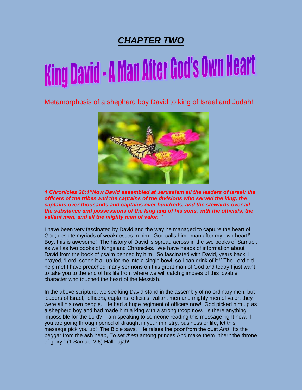# *CHAPTER TWO*

# King David - A Man After God's Own Heart

Metamorphosis of a shepherd boy David to king of Israel and Judah!



*1 Chronicles 28:1"Now David assembled at Jerusalem all the leaders of Israel: the officers of the tribes and the captains of the divisions who served the king, the captains over thousands and captains over hundreds, and the stewards over all the substance and possessions of the king and of his sons, with the officials, the valiant men, and all the mighty men of valor. "*

I have been very fascinated by David and the way he managed to capture the heart of God; despite myriads of weaknesses in him. God calls him, 'man after my own heart!' Boy, this is awesome! The history of David is spread across in the two books of Samuel, as well as two books of Kings and Chronicles. We have heaps of information about David from the book of psalm penned by him. So fascinated with David, years back, I prayed, 'Lord, scoop it all up for me into a single bowl, so I can drink of it !' The Lord did help me! I have preached many sermons on this great man of God and today I just want to take you to the end of his life from where we will catch glimpses of this lovable character who touched the heart of the Messiah.

In the above scripture, we see king David stand in the assembly of no ordinary men: but leaders of Israel, officers, captains, officials, valiant men and mighty men of valor; they were all his own people. He had a huge regiment of officers now! God picked him up as a shepherd boy and had made him a king with a strong troop now. Is there anything impossible for the Lord? I am speaking to someone reading this message right now, if you are going through period of draught in your ministry, business or life, let this message pick you up! The Bible says, "He raises the poor from the dust *And* lifts the beggar from the ash heap, To set *them* among princes And make them inherit the throne of glory." (1 Samuel 2:8) Hallelujah!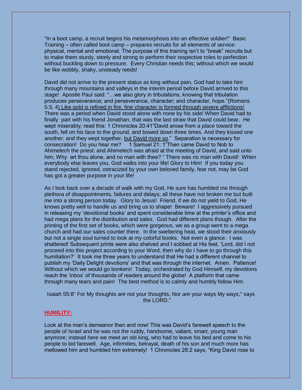"In a boot camp, a recruit begins his metamorphosis into an effective soldier!" Basic Training – often called boot camp – prepares recruits for all elements of service: physical, mental and emotional. The purpose of this training isn't to "break" recruits but to make them sturdy, steely and strong to perform their respective roles to perfection without buckling down to pressure. Every Christian needs this; without which we would be like wobbly, shaky, unsteady reeds!

David did not arrive to the present status as king without pain, God had to take him through many mountains and valleys in the interim period before David arrived to this stage! Apostle Paul said: "…we also glory in tribulations, knowing that tribulation produces perseverance; and perseverance, character; and character, hope."(Romans 5:3, 4) Like gold is refined in fire, fine character is formed through severe afflictions! There was a period when David stood alone with none by his side! When David had to finally part with his friend Jonathan, that was the last straw that David could bear. He wept miserably; read this: 1 Chronicles 20:41"David arose from *a place* toward the south, fell on his face to the ground, and bowed down three times. And they kissed one another; and they wept together, but David more so." Separation is necessary for consecration! Do you hear me? 1 Samuel 21: 1"Then came David to Nob to Ahimelech the priest: and Ahimelech was afraid at the meeting of David, and said unto him, Why art thou alone, and no man with thee? " There was no man with David! When everybody else leaves you, God walks into your life! Glory to Him! If you today you stand rejected, ignored, ostracized by your own beloved family, fear not, may be God has got a greater purpose in your life!

As I look back over a decade of walk with my God, He sure has humbled me through plethora of disappointments, failures and delays; all these have not broken me but built me into a strong person today. Glory to Jesus! Friend, if we do not yield to God, He knows pretty well to handle us and bring us to shape! Beware! I aggressively pursued in releasing my 'devotional books' and spent considerable time at the printer's office and had mega plans for the distribution and sales. God had different plans though. After the printing of the first set of books, which were gorgeous, we as a group went to a mega church and had our sales counter there. In the sweltering heat, we stood their anxiously but not a single soul turned to look at my colorful books. Not even a glance. I was shattered! Subsequent prints were also shelved and I sobbed at His feet, 'Lord, did I not proceed into this project according to your Word, then why do I have to go through this humiliation?' It took me three years to understand that He had a different channel to publish my 'Daily Delight devotions' and that was through the internet. Amen. Patience! Without which we would go bonkers! Today, orchestrated by God Himself, my devotions reach the 'inbox' of thousands of readers around the globe! A platform that came through many tears and pain! The best method is to calmly and humbly follow Him.

Isaiah 55:8" For My thoughts *are* not your thoughts, Nor *are* your ways My ways," says the LORD."

#### **HUMILITY:**

Look at the man's demeanor then and now! This was David's farewell speech to the people of Israel and he was not the ruddy, handsome, valiant, smart, young man anymore; instead here we meet an old king, who had to leave his bed and come to his people to bid farewell. Age, infirmities, betrayal, death of his son and much more has mellowed him and humbled him extremely! 1 Chronicles 28:2 says, "King David rose to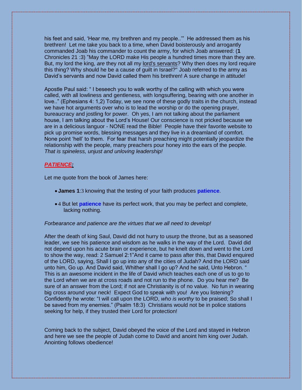his feet and said, 'Hear me, my brethren and my people..'" He addressed them as his brethren! Let me take you back to a time, when David boisterously and arrogantly commanded Joab his commander to count the army, for which Joab answered: (**1**  Chronicles 21 :3) "May the LORD make His people a hundred times more than they are. But, my lord the king, *are* they not all my lord's servants? Why then does my lord require this thing? Why should he be a cause of guilt in Israel?" Joab referred to the army as David's servants and now David called them his brethren! A sure change in attitude!

Apostle Paul said: " I beseech you to walk worthy of the calling with which you were called, with all lowliness and gentleness, with longsuffering, bearing with one another in love.." (Ephesians 4: 1,2) Today, we see none of these godly traits in the church, instead we have hot arguments over who is to lead the worship or do the opening prayer, bureaucracy and jostling for power. Oh yes, I am not talking about the parliament house, I am talking about the Lord's House! Our conscience is not pricked because we are in a delicious languor - NONE read the Bible! People have their favorite website to pick up promise words, blessing messages and they live in a dreamland of comfort. None point 'hell' to them. For fear that harsh preaching might potentially jeopardize the relationship with the people, many preachers pour honey into the ears of the people. *That is spineless, unjust and unloving leadership!*

#### *PATIENCE:*

Let me quote from the book of James here:

- **James 1**:3 knowing that the testing of your faith produces **patience**.
- 4 But let **patience** have its perfect work, that you may be perfect and complete, lacking nothing.

#### *Forbearance and patience are the virtues that we all need to develop!*

After the death of king Saul, David did not hurry to usurp the throne, but as a seasoned leader, we see his patience and wisdom as he walks in the way of the Lord. David did not depend upon his acute brain or experience, but he knelt down and went to the Lord to show the way, read: 2 Samuel 2:1"And it came to pass after this, that David enquired of the LORD, saying, Shall I go up into any of the cities of Judah? And the LORD said unto him, Go up. And David said, Whither shall I go up? And he said, Unto Hebron. " This is an awesome incident in the life of David which teaches each one of us to go to the Lord when we are at cross roads and not run to the phone. Do you hear me? Be sure of an answer from the Lord; if not are Christianity is of no value. No fun in wearing big cross around your neck! Expect God to speak with you! Are you listening? Confidently he wrote: "I will call upon the LORD, *who is worthy* to be praised; So shall I be saved from my enemies." (Psalm 18:3) Christians would not be in police stations seeking for help, if they trusted their Lord for protection!

Coming back to the subject, David obeyed the voice of the Lord and stayed in Hebron and here we see the people of Judah come to David and anoint him king over Judah. Anointing follows obedience!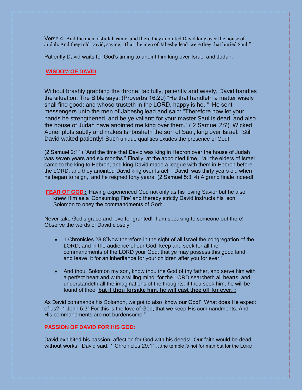Verse 4 "And the men of Judah came, and there they anointed David king over the house of Judah. And they told David, saying, That the men of Jabeshgilead were they that buried Saul."

Patiently David waits for God's timing to anoint him king over Israel and Judah.

#### **WISDOM OF DAVID**:

Without brashly grabbing the throne, tactfully, patiently and wisely, David handles the situation. The Bible says: (Proverbs 16:20) "He that handleth a matter wisely shall find good: and whoso trusteth in the LORD, happy is he. " He sent messengers unto the men of Jabeshgilead and said: "Therefore now let your hands be strengthened, and be ye valiant: for your master Saul is dead, and also the house of Judah have anointed me king over them." ( 2 Samuel 2:7) Wicked Abner plots subtly and makes Ishbosheth the son of Saul, king over Israel. Still David waited patiently! Such unique qualities exudes the presence of God!

(2 Samuel 2:11) "And the time that David was king in Hebron over the house of Judah was seven years and six months." Finally, at the appointed time, "all the elders of Israel came to the king to Hebron; and king David made a league with them in Hebron before the LORD: and they anointed David king over Israel. David was thirty years old when he began to reign, and he reigned forty years."(2 Samuel 5:3, 4) A grand finale indeed!

**FEAR OF GOD :** Having experienced God not only as his loving Savior but he also knew Him as a 'Consuming Fire' and thereby strictly David instructs his son Solomon to obey the commandments of God:

Never take God's grace and love for granted! I am speaking to someone out there! Observe the words of David closely:

- 1 Chronicles 28:8"Now therefore in the sight of all Israel the congregation of the LORD, and in the audience of our God, keep and seek for all the commandments of the LORD your God: that ye may possess this good land, and leave it for an inheritance for your children after you for ever."
- And thou, Solomon my son, know thou the God of thy father, and serve him with a perfect heart and with a willing mind: for the LORD searcheth all hearts, and understandeth all the imaginations of the thoughts: if thou seek him, he will be found of thee; **but if thou forsake him, he will cast thee off for ever. ;**

As David commands his Solomon, we got to also 'know our God!' What does He expect of us? 1 John 5:3" For this is the love of God, that we keep His commandments. And His commandments are not burdensome."

#### **PASSION OF DAVID FOR HIS GOD:**

David exhibited his passion, affection for God with his deeds! Our faith would be dead without works! David said: 1 Chronicles 29:1"….the temple *is* not for man but for the LORD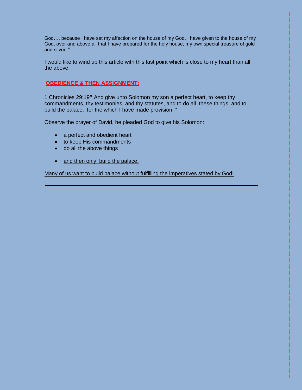God…. because I have set my affection on the house of my God, I have given to the house of my God, over and above all that I have prepared for the holy house, my own special treasure of gold and silver.."

I would like to wind up this article with this last point which is close to my heart than all the above:

#### **OBEDIENCE & THEN ASSIGNMENT:**

1 Chronicles 29:19**"** And give unto Solomon my son a perfect heart, to keep thy commandments, thy testimonies, and thy statutes, and to do all these things, and to build the palace, for the which I have made provision. "

Observe the prayer of David, he pleaded God to give his Solomon:

- a perfect and obedient heart
- to keep His commandments
- do all the above things
- and then only build the palace.

Many of us want to build palace without fulfilling the imperatives stated by God!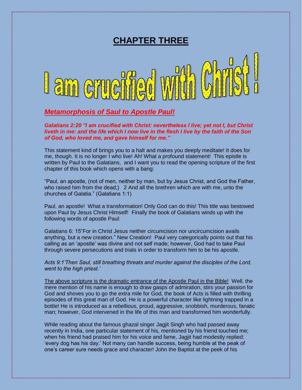## **CHAPTER THREE**



#### *Metamorphosis of Saul to Apostle Paul!*

*Galatians 2:20 "I am crucified with Christ: nevertheless I live; yet not I, but Christ liveth in me: and the life which I now live in the flesh I live by the faith of the Son of God, who loved me, and gave himself for me."*

This statement kind of brings you to a halt and makes you deeply meditate! It does for me, though. It is no longer I who live! Ah! What a profound statement! This epistle is written by Paul to the Galatians, and I want you to read the opening scripture of the first chapter of this book which opens with a bang:

"Paul, an apostle, (not of men, neither by man, but by Jesus Christ, and God the Father, who raised him from the dead;) 2 And all the brethren which are with me, unto the churches of Galatia." (Galatians 1:1)

Paul, an apostle! What a transformation! Only God can do this! This title was bestowed upon Paul by Jesus Christ Himself! Finally the book of Galatians winds up with the following words of apostle Paul:

Galatians 6: 15"For in Christ Jesus neither circumcision nor uncircumcision avails anything, but a new creation." New Creation! Paul very categorically points out that his calling as an 'apostle' was divine and not self made; however, God had to take Paul through severe persecutions and trials in order to transform him to be his apostle.

*Acts 9:1'Then Saul, still breathing threats and murder against the disciples of the Lord, went to the high priest.'*

The above scripture is the dramatic entrance of the Apostle Paul in the Bible! Well, the mere mention of his name is enough to draw gasps of admiration, stirs your passion for God and shoves you to go the extra mile for God, the book of Acts is filled with thrilling episodes of this great man of God. He is a powerful character like lightning trapped in a bottle! He is introduced as a rebellious, proud, aggressive, snobbish, murderous, fanatic man; however, God intervened in the life of this man and transformed him wonderfully.

While reading about the famous ghazal singer Jagjit Singh who had passed away recently in India, one particular statement of his, mentioned by his friend touched me; when his friend had praised him for his voice and fame, Jagjit had modestly replied: 'every dog has his day.' Not many can handle success, being humble at the peak of one's career sure needs grace and character! John the Baptist at the peek of his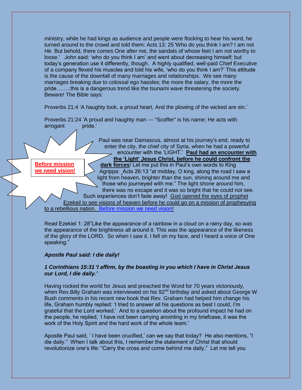ministry, while he had kings as audience and people were flocking to hear his word, he turned around to the crowd and told them: Acts 13: 25 'Who do you think I am? I am not *He.* But behold, there comes One after me, the sandals of whose feet I am not worthy to loose.' John said: 'who do you think I am' and went about decreasing himself; but today's generation use it differently, though. A highly qualified, well-paid Chief Executive of a company flexed his muscles and told his wife, 'who do you think I am?' This attitude is the cause of the downfall of many marriages and relationships. We see many marriages breaking due to colossal ego hassles; the more the salary, the more the pride……..this is a dangerous trend like the tsunami wave threatening the society. Beware! The Bible says:

Proverbs 21:4 'A haughty look, a proud heart, And the plowing of the wicked are sin.'

Proverbs 21:24 'A proud and haughty man --- "Scoffer" is his name; He acts with arrogant pride.'

Paul was near Damascus, almost at his journey's end, ready to enter the city, the chief city of Syria, when he had a powerful encounter with the 'LIGHT.' **Paul had an encounter with the 'Light' Jesus Christ, before he could confront the dark forces**! Let me put this in Paul's own words to King Agrippa: Acts 26:13 "at midday, O king, along the road I saw a light from heaven, brighter than the sun, shining around me and those who journeyed with me." The light shone around him, there was no escape and it was so bright that he could not see. Such experiences don't fade away! God opened the eyes of prophet Ezekeil to see visions of heaven before he could go on a mission of prophesying **Before mission we need vision!**

to a rebellious nation. Before mission we need vision!

Read Ezekiel 1: 28"Like the appearance of a rainbow in a cloud on a rainy day, so *was* the appearance of the brightness all around it. This *was* the appearance of the likeness of the glory of the LORD. So when I saw *it,* I fell on my face, and I heard a voice of One speaking."

#### *Apostle Paul said: I die daily!*

#### *1 Corinthians 15:31 'I affirm, by the boasting in you which I have in Christ Jesus our Lord, I die daily.'*

Having rocked the world for Jesus and preached the Word for 70 years victoriously, when Rev. Billy Graham was interviewed on his  $92<sup>nd</sup>$  birthday and asked about George W Bush comments in his recent new book that Rev. Graham had helped him change his life, Graham humbly replied: 'I tried to answer all his questions as best I could, I'm grateful that the Lord worked.' And to a question about the profound impact he had on the people, he replied, 'I have not been carrying anointing in my briefcase, it was the work of the Holy Spirit and the hard work of the whole team.'

Apostle Paul said, ' I have been crucified,' can we say that today? He also mentions, "I die daily." When I talk about this, I remember the statement of Christ that should revolutionize one's life: "Carry the cross and come behind me daily." Let me tell you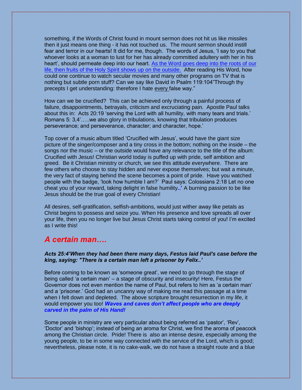something, if the Words of Christ found in mount sermon does not hit us like missiles then it just means one thing - it has not touched us. The mount sermon should instill fear and terror in our hearts! It did for me, though. The words of Jesus, 'I say to you that whoever looks at a woman to lust for her has already committed adultery with her in his heart', should permeate deep into our heart. As the Word goes deep into the roots of our life, then fruits of the Holy Spirit shows up on the outside. After reading His Word, how could one continue to watch secular movies and many other programs on TV that is nothing but subtle porn stuff? Can we say like David in Psalm 119:104"Through thy precepts I get understanding: therefore I hate every false way."

How can we be crucified? This can be achieved only through a painful process of failure, disappointments, betrayals, criticism and excruciating pain. Apostle Paul talks about this in: Acts 20:19 'serving the Lord with all humility, with many tears and trials.' Romans 5: 3,4'…..we also glory in tribulations, knowing that tribulation produces perseverance; and perseverance, character; and character, hope.'

Top cover of a music album titled 'Crucified with Jesus', would have the giant size picture of the singer/composer and a tiny cross in the bottom; nothing on the inside – the songs nor the music – or the outside would have any relevance to the title of the album: Crucified with Jesus! Christian world today is puffed up with pride, self ambition and greed. Be it Christian ministry or church, we see this attitude everywhere. There are few others who choose to stay hidden and never expose themselves; but wait a minute, the very fact of staying behind the scene becomes a point of pride. Have you watched people with the badge, 'look how humble I am?' Paul says: Colossians 2:18 Let no one cheat you of your reward, taking delight in false humility**..'** A burning passion to be like Jesus should be the true goal of every Christian!

All desires, self-gratification, selfish-ambitions, would just wither away like petals as Christ begins to possess and seize you. When His presence and love spreads all over your life, then you no longer live but Jesus Christ starts taking control of you! I'm excited as I write this!

#### *A certain man….*

#### *Acts 25:4'When they had been there many days, Festus laid Paul's case before the king, saying: "There is a certain man left a prisoner by Felix..'*

Before coming to be known as 'someone great', we need to go through the stage of being called 'a certain man' – a stage of obscurity and insecurity! Here, Festus the Governor does not even mention the name of Paul, but refers to him as 'a certain man' and a 'prisoner.' God had an uncanny way of making me read this passage at a time when I felt down and depleted. The above scripture brought resurrection in my life, it would empower you too! *Waves and caves don't affect people who are deeply carved in the palm of His Hand!* 

Some people in ministry are very particular about being referred as 'pastor', 'Rev', 'Doctor' and 'bishop'; instead of being an aroma for Christ, we find the aroma of peacock among the Christian circle. Pride! There is also an intense desire, especially among the young people, to be in some way connected with the service of the Lord, which is good; nevertheless, please note, it is no cake-walk, we do not have a straight route and a blue